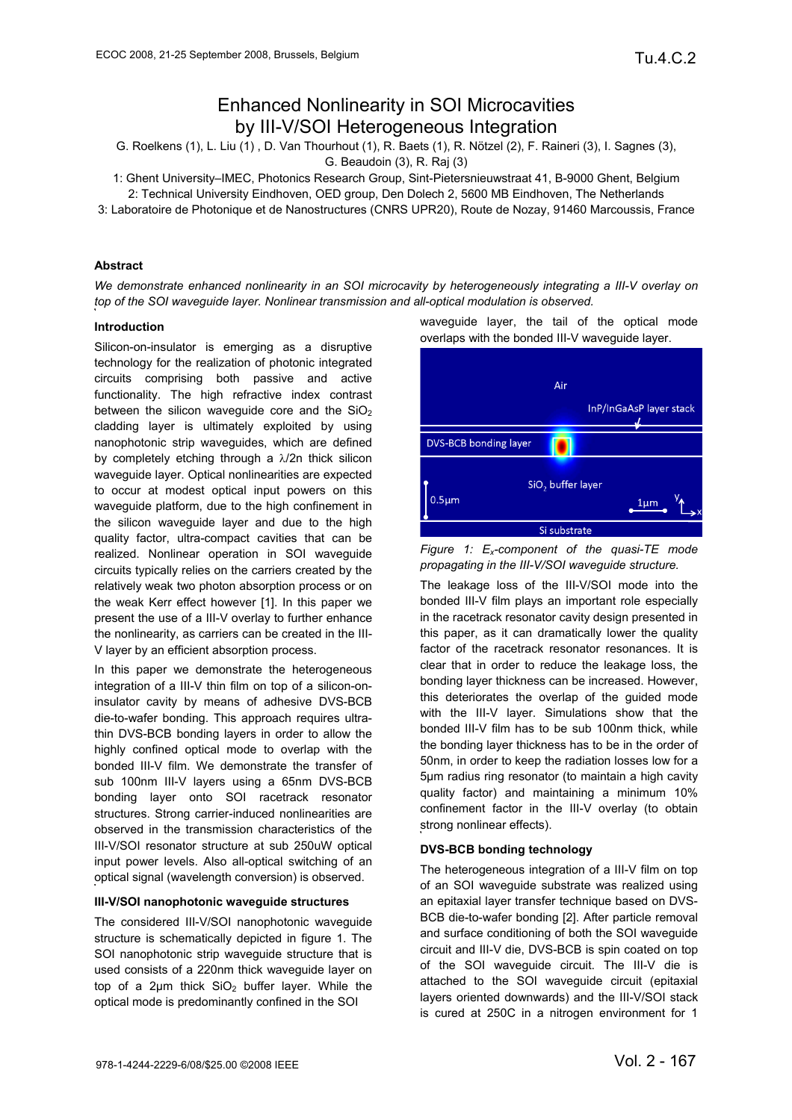# Enhanced Nonlinearity in SOI Microcavities by III-V/SOI Heterogeneous Integration

G. Roelkens (1), L. Liu (1) , D. Van Thourhout (1), R. Baets (1), R. Nötzel (2), F. Raineri (3), I. Sagnes (3), G. Beaudoin (3), R. Raj (3)

1: Ghent University–IMEC, Photonics Research Group, Sint-Pietersnieuwstraat 41, B-9000 Ghent, Belgium 2: Technical University Eindhoven, OED group, Den Dolech 2, 5600 MB Eindhoven, The Netherlands

3: Laboratoire de Photonique et de Nanostructures (CNRS UPR20), Route de Nozay, 91460 Marcoussis, France

### **Abstract**

*We demonstrate enhanced nonlinearity in an SOI microcavity by heterogeneously integrating a III-V overlay on top of the SOI waveguide layer. Nonlinear transmission and all-optical modulation is observed.* 

### **Introduction**

Silicon-on-insulator is emerging as a disruptive technology for the realization of photonic integrated circuits comprising both passive and active functionality. The high refractive index contrast between the silicon waveguide core and the  $SiO<sub>2</sub>$ cladding layer is ultimately exploited by using nanophotonic strip waveguides, which are defined by completely etching through a  $\lambda/2n$  thick silicon waveguide layer. Optical nonlinearities are expected to occur at modest optical input powers on this waveguide platform, due to the high confinement in the silicon waveguide layer and due to the high quality factor, ultra-compact cavities that can be realized. Nonlinear operation in SOI waveguide circuits typically relies on the carriers created by the relatively weak two photon absorption process or on the weak Kerr effect however [1]. In this paper we present the use of a III-V overlay to further enhance the nonlinearity, as carriers can be created in the III-V layer by an efficient absorption process.

In this paper we demonstrate the heterogeneous integration of a III-V thin film on top of a silicon-oninsulator cavity by means of adhesive DVS-BCB die-to-wafer bonding. This approach requires ultrathin DVS-BCB bonding layers in order to allow the highly confined optical mode to overlap with the bonded III-V film. We demonstrate the transfer of sub 100nm III-V layers using a 65nm DVS-BCB bonding layer onto SOI racetrack resonator structures. Strong carrier-induced nonlinearities are observed in the transmission characteristics of the III-V/SOI resonator structure at sub 250uW optical input power levels. Also all-optical switching of an optical signal (wavelength conversion) is observed.

# **III-V/SOI nanophotonic waveguide structures**

The considered III-V/SOI nanophotonic waveguide structure is schematically depicted in figure 1. The SOI nanophotonic strip waveguide structure that is used consists of a 220nm thick waveguide layer on top of a  $2\mu m$  thick  $SiO<sub>2</sub>$  buffer layer. While the optical mode is predominantly confined in the SOI

waveguide layer, the tail of the optical mode overlaps with the bonded III-V waveguide layer.



*Figure 1: Ex-component of the quasi-TE mode propagating in the III-V/SOI waveguide structure.* 

The leakage loss of the III-V/SOI mode into the bonded III-V film plays an important role especially in the racetrack resonator cavity design presented in this paper, as it can dramatically lower the quality factor of the racetrack resonator resonances. It is clear that in order to reduce the leakage loss, the bonding layer thickness can be increased. However, this deteriorates the overlap of the guided mode with the III-V layer. Simulations show that the bonded III-V film has to be sub 100nm thick, while the bonding layer thickness has to be in the order of 50nm, in order to keep the radiation losses low for a 5µm radius ring resonator (to maintain a high cavity quality factor) and maintaining a minimum 10% confinement factor in the III-V overlay (to obtain strong nonlinear effects).

# **DVS-BCB bonding technology**

The heterogeneous integration of a III-V film on top of an SOI waveguide substrate was realized using an epitaxial layer transfer technique based on DVS-BCB die-to-wafer bonding [2]. After particle removal and surface conditioning of both the SOI waveguide circuit and III-V die, DVS-BCB is spin coated on top of the SOI waveguide circuit. The III-V die is attached to the SOI waveguide circuit (epitaxial layers oriented downwards) and the III-V/SOI stack is cured at 250C in a nitrogen environment for 1